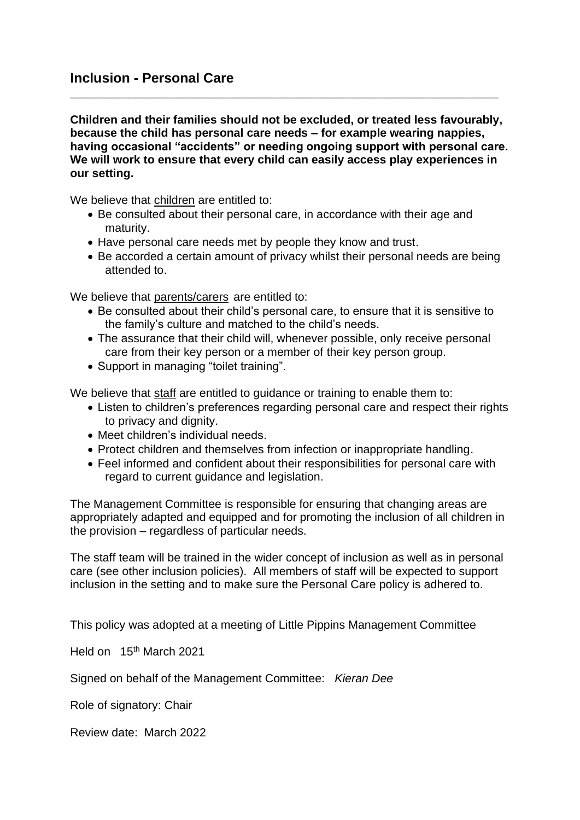## **Inclusion - Personal Care**

**Children and their families should not be excluded, or treated less favourably, because the child has personal care needs – for example wearing nappies, having occasional "accidents" or needing ongoing support with personal care. We will work to ensure that every child can easily access play experiences in our setting.**

**\_\_\_\_\_\_\_\_\_\_\_\_\_\_\_\_\_\_\_\_\_\_\_\_\_\_\_\_\_\_\_\_\_\_\_\_\_\_\_\_\_\_\_\_\_\_\_\_\_\_\_\_\_\_\_\_\_\_\_\_\_\_\_\_\_\_**

We believe that children are entitled to:

- Be consulted about their personal care, in accordance with their age and maturity.
- Have personal care needs met by people they know and trust.
- Be accorded a certain amount of privacy whilst their personal needs are being attended to.

We believe that parents/carers are entitled to:

- Be consulted about their child's personal care, to ensure that it is sensitive to the family's culture and matched to the child's needs.
- The assurance that their child will, whenever possible, only receive personal care from their key person or a member of their key person group.
- Support in managing "toilet training".

We believe that staff are entitled to guidance or training to enable them to:

- Listen to children's preferences regarding personal care and respect their rights to privacy and dignity.
- Meet children's individual needs.
- Protect children and themselves from infection or inappropriate handling.
- Feel informed and confident about their responsibilities for personal care with regard to current guidance and legislation.

The Management Committee is responsible for ensuring that changing areas are appropriately adapted and equipped and for promoting the inclusion of all children in the provision – regardless of particular needs.

The staff team will be trained in the wider concept of inclusion as well as in personal care (see other inclusion policies). All members of staff will be expected to support inclusion in the setting and to make sure the Personal Care policy is adhered to.

This policy was adopted at a meeting of Little Pippins Management Committee

Held on 15<sup>th</sup> March 2021

Signed on behalf of the Management Committee: *Kieran Dee*

Role of signatory: Chair

Review date: March 2022